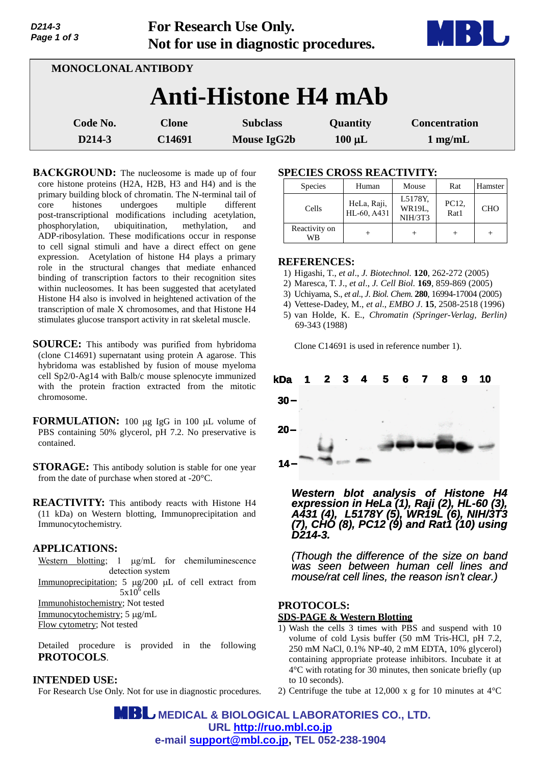| Page 1 of 3                |                        | Not for use in diagnostic procedures. |                         | <b>Albany</b><br><b>THE BL</b>            |
|----------------------------|------------------------|---------------------------------------|-------------------------|-------------------------------------------|
| <b>MONOCLONAL ANTIBODY</b> |                        |                                       |                         |                                           |
|                            |                        | <b>Anti-Histone H4 mAb</b>            |                         |                                           |
| Code No.<br>D214-3         | <b>Clone</b><br>C14691 | <b>Subclass</b><br><b>Mouse IgG2b</b> | Quantity<br>$100 \mu L$ | <b>Concentration</b><br>$1 \text{ mg/mL}$ |

**For Research Use Only.**

**BACKGROUND:** The nucleosome is made up of four core histone proteins (H2A, H2B, H3 and H4) and is the primary building block of chromatin. The N-terminal tail of core histones undergoes multiple different post-transcriptional modifications including acetylation, phosphorylation, ubiquitination, methylation, and ADP-ribosylation. These modifications occur in response to cell signal stimuli and have a direct effect on gene expression. Acetylation of histone H4 plays a primary role in the structural changes that mediate enhanced binding of transcription factors to their recognition sites within nucleosomes. It has been suggested that acetylated Histone H4 also is involved in heightened activation of the transcription of male X chromosomes, and that Histone H4 stimulates glucose transport activity in rat skeletal muscle.

**SOURCE:** This antibody was purified from hybridoma (clone C14691) supernatant using protein A agarose. This hybridoma was established by fusion of mouse myeloma cell Sp2/0-Ag14 with Balb/c mouse splenocyte immunized with the protein fraction extracted from the mitotic chromosome.

**FORMULATION:** 100 µg IgG in 100 µL volume of PBS containing 50% glycerol, pH 7.2. No preservative is contained.

**STORAGE:** This antibody solution is stable for one year from the date of purchase when stored at -20°C.

**REACTIVITY:** This antibody reacts with Histone H4 (11 kDa) on Western blotting, Immunoprecipitation and Immunocytochemistry.

#### **APPLICATIONS:**

*D214-3*

Western blotting;  $1 \mu g/mL$  for chemiluminescence detection system

Immunoprecipitation;  $5 \mu g/200 \mu L$  of cell extract from  $5x10^6$  cells Immunohistochemistry; Not tested Immunocytochemistry; 5 µg/mL Flow cytometry; Not tested

Detailed procedure is provided in the following

# **PROTOCOLS**.

## **INTENDED USE:**

For Research Use Only. Not for use in diagnostic procedures.

## **SPECIES CROSS REACTIVITY:**

| <b>Species</b>      | Human                      | Mouse                        | Rat           | Hamster    |
|---------------------|----------------------------|------------------------------|---------------|------------|
| Cells               | HeLa, Raji,<br>HL-60, A431 | L5178Y.<br>WR19L.<br>NIH/3T3 | PC12,<br>Rat1 | <b>CHO</b> |
| Reactivity on<br>WВ |                            |                              |               |            |

#### **REFERENCES:**

- 1) Higashi, T., *et al*., *J. Biotechnol.* **120**, 262-272 (2005)
- 2) Maresca, T. J., *et al*., *J. Cell Biol.* **169**, 859-869 (2005)
- 3) Uchiyama, S., *et al*., *J. Biol. Chem.* **280**, 16994-17004 (2005)
- 4) Vettese-Dadey, M., *et al*., *EMBO J*. **15**, 2508-2518 (1996)
- 5) van Holde, K. E., *Chromatin (Springer-Verlag, Berlin)* 69-343 (1988)

Clone C14691 is used in reference number 1).



*Western blot analysis of Histone H4 expression in HeLa (1), Raji (2), HL-60 (3), A431 (4), L5178Y (5), WR19L (6), NIH/3T3 (7), CHO (8), PC12 (9) and Rat1 (10) using D214-3.*

*(Though the difference of the size on band was seen between human cell lines and mouse/rat cell lines, the reason isn't clear.)*

## **PROTOCOLS: SDS-PAGE & Western Blotting**

- 1) Wash the cells 3 times with PBS and suspend with 10 volume of cold Lysis buffer (50 mM Tris-HCl, pH 7.2, 250 mM NaCl, 0.1% NP-40, 2 mM EDTA, 10% glycerol) containing appropriate protease inhibitors. Incubate it at 4°C with rotating for 30 minutes, then sonicate briefly (up to 10 seconds).
- 2) Centrifuge the tube at 12,000 x g for 10 minutes at 4°C

 **MEDICAL & BIOLOGICAL LABORATORIES CO., LTD. URL [http://ruo.mbl.co.jp](http://ruo.mbl.co.jp/) e-mail [support@mbl.co.jp,](mailto:support@mbl.co.jp) TEL 052-238-1904**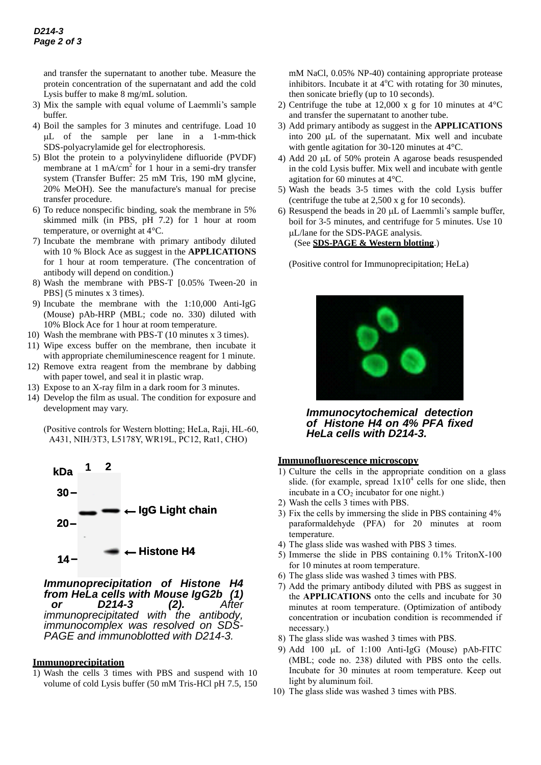and transfer the supernatant to another tube. Measure the protein concentration of the supernatant and add the cold Lysis buffer to make 8 mg/mL solution.

- 3) Mix the sample with equal volume of Laemmli's sample buffer.
- 4) Boil the samples for 3 minutes and centrifuge. Load 10 L of the sample per lane in a 1-mm-thick SDS-polyacrylamide gel for electrophoresis.
- 5) Blot the protein to a polyvinylidene difluoride (PVDF) membrane at 1 mA/cm<sup>2</sup> for 1 hour in a semi-dry transfer system (Transfer Buffer: 25 mM Tris, 190 mM glycine, 20% MeOH). See the manufacture's manual for precise transfer procedure.
- 6) To reduce nonspecific binding, soak the membrane in 5% skimmed milk (in PBS, pH 7.2) for 1 hour at room temperature, or overnight at 4°C.
- 7) Incubate the membrane with primary antibody diluted with 10 % Block Ace as suggest in the **APPLICATIONS** for 1 hour at room temperature. (The concentration of antibody will depend on condition.)
- 8) Wash the membrane with PBS-T [0.05% Tween-20 in PBS] (5 minutes x 3 times).
- 9) Incubate the membrane with the 1:10,000 Anti-IgG (Mouse) pAb-HRP (MBL; code no. 330) diluted with 10% Block Ace for 1 hour at room temperature.
- 10) Wash the membrane with PBS-T (10 minutes x 3 times).
- 11) Wipe excess buffer on the membrane, then incubate it with appropriate chemiluminescence reagent for 1 minute.
- 12) Remove extra reagent from the membrane by dabbing with paper towel, and seal it in plastic wrap.
- 13) Expose to an X-ray film in a dark room for 3 minutes.
- 14) Develop the film as usual. The condition for exposure and development may vary.

(Positive controls for Western blotting; HeLa, Raji, HL-60, A431, NIH/3T3, L5178Y, WR19L, PC12, Rat1, CHO)



*Immunoprecipitation of Histone H4 from HeLa cells with Mouse IgG2b (1) or D214-3 (2). After immunoprecipitated* with the antibody, *immunocomplex was resolved on SDS-PAGE and immunoblotted with D214-3.* 

#### **Immunoprecipitation**

1) Wash the cells 3 times with PBS and suspend with 10 volume of cold Lysis buffer (50 mM Tris-HCl pH 7.5, 150 mM NaCl, 0.05% NP-40) containing appropriate protease inhibitors. Incubate it at  $4^{\circ}$ C with rotating for 30 minutes, then sonicate briefly (up to 10 seconds).

- 2) Centrifuge the tube at 12,000 x g for 10 minutes at  $4^{\circ}$ C and transfer the supernatant to another tube.
- 3) Add primary antibody as suggest in the **APPLICATIONS** into 200 µL of the supernatant. Mix well and incubate with gentle agitation for 30-120 minutes at 4°C.
- 4) Add 20  $\mu$ L of 50% protein A agarose beads resuspended in the cold Lysis buffer. Mix well and incubate with gentle agitation for 60 minutes at 4°C.
- 5) Wash the beads 3-5 times with the cold Lysis buffer (centrifuge the tube at 2,500 x g for 10 seconds).
- 6) Resuspend the beads in 20  $\mu$ L of Laemmli's sample buffer, boil for 3-5 minutes, and centrifuge for 5 minutes. Use 10 L/lane for the SDS-PAGE analysis. (See **SDS-PAGE & Western blotting**.)

(Positive control for Immunoprecipitation; HeLa)



*Immunocytochemical detection of Histone H4 on 4% PFA fixed HeLa cells with D214-3.*

## **Immunofluorescence microscopy**

- 1) Culture the cells in the appropriate condition on a glass slide. (for example, spread  $1x10^4$  cells for one slide, then incubate in a  $CO<sub>2</sub>$  incubator for one night.)
- 2) Wash the cells 3 times with PBS.
- 3) Fix the cells by immersing the slide in PBS containing 4% paraformaldehyde (PFA) for 20 minutes at room temperature.
- 4) The glass slide was washed with PBS 3 times.
- 5) Immerse the slide in PBS containing 0.1% TritonX-100 for 10 minutes at room temperature.
- 6) The glass slide was washed 3 times with PBS.
- 7) Add the primary antibody diluted with PBS as suggest in the **APPLICATIONS** onto the cells and incubate for 30 minutes at room temperature. (Optimization of antibody concentration or incubation condition is recommended if necessary.)
- 8) The glass slide was washed 3 times with PBS.
- 9) Add 100  $\mu$ L of 1:100 Anti-IgG (Mouse) pAb-FITC (MBL; code no. 238) diluted with PBS onto the cells. Incubate for 30 minutes at room temperature. Keep out light by aluminum foil.
- 10) The glass slide was washed 3 times with PBS.